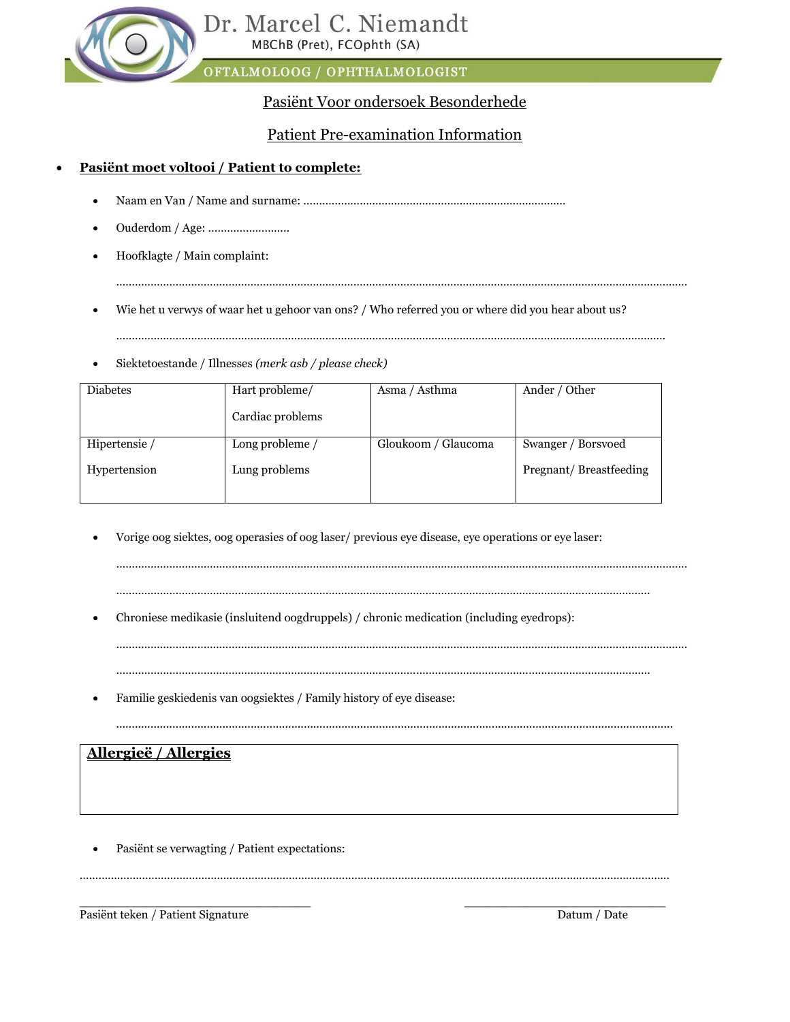# Pasiënt Voor ondersoek Besonderhede

# Patient Pre-examination Information

# • **Pasiënt moet voltooi / Patient to complete:**

- Naam en Van / Name and surname: …………………………………………………………………………
- Ouderdom / Age: ……………………..
- Hoofklagte / Main complaint:

…………………………………………………………………………………………………………………………………………………………………

• Wie het u verwys of waar het u gehoor van ons? / Who referred you or where did you hear about us?

…………………………………………………………………………………………………………………………………………………………..

• Siektetoestande / Illnesses *(merk asb / please check)*

| <b>Diabetes</b> | Hart probleme/    | Asma / Asthma       | Ander / Other          |
|-----------------|-------------------|---------------------|------------------------|
|                 | Cardiac problems  |                     |                        |
| Hipertensie /   | Long probleme $/$ | Gloukoom / Glaucoma | Swanger / Borsvoed     |
| Hypertension    | Lung problems     |                     | Pregnant/Breastfeeding |

• Vorige oog siektes, oog operasies of oog laser/ previous eye disease, eye operations or eye laser:

………………………………………………………………………………………………………………………………………………………

………………………………………………………………………………………………………………………………………………………

…………………………………………………………………………………………………………………………………………………………………

• Chroniese medikasie (insluitend oogdruppels) / chronic medication (including eyedrops):

• Familie geskiedenis van oogsiektes / Family history of eye disease:

..................................................................................................................................................................................

# **Allergieë / Allergies**

Pasiënt se verwagting / Patient expectations:

………………………………………………………………………………………………………………………………………………………………………

\_\_\_\_\_\_\_\_\_\_\_\_\_\_\_\_\_\_\_\_\_\_\_\_\_\_\_\_\_\_\_ \_\_\_\_\_\_\_\_\_\_\_\_\_\_\_\_\_\_\_\_\_\_\_\_\_\_\_ Pasiënt teken / Patient Signature Datum / Date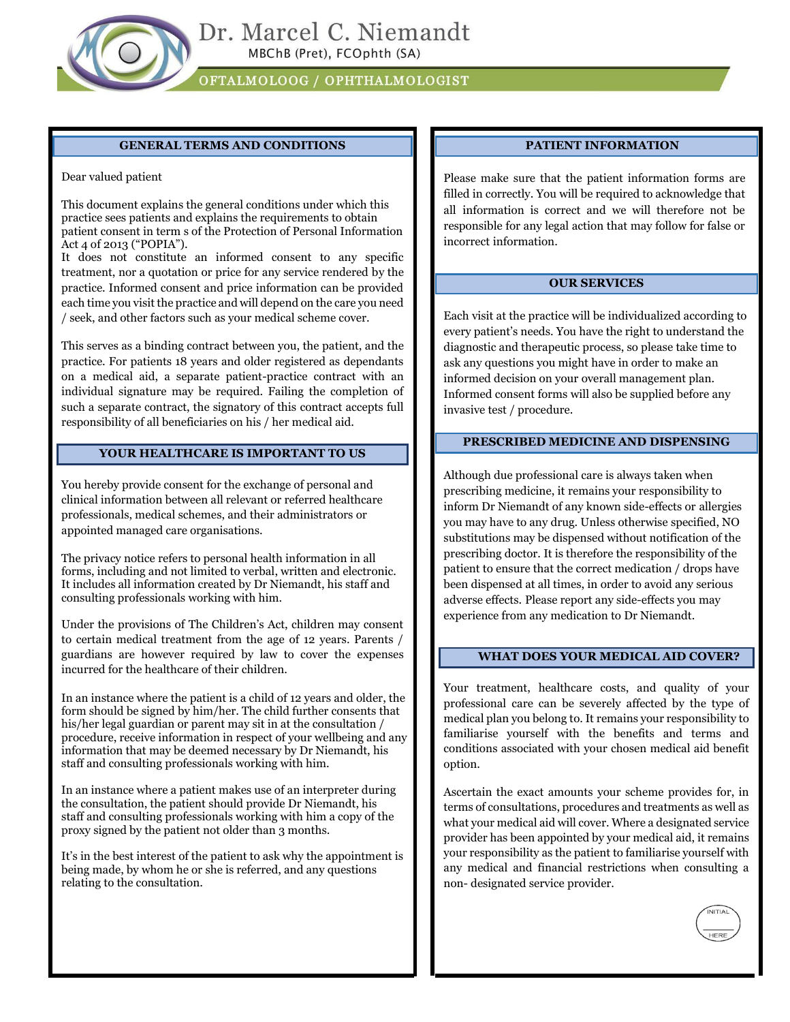

#### **GENERAL TERMS AND CONDITIONS**

Dear valued patient

This document explains the general conditions under which this practice sees patients and explains the requirements to obtain patient consent in term s of the Protection of Personal Information Act 4 of 2013 ("POPIA").

It does not constitute an informed consent to any specific treatment, nor a quotation or price for any service rendered by the practice. Informed consent and price information can be provided each time you visit the practice and will depend on the care you need / seek, and other factors such as your medical scheme cover.

This serves as a binding contract between you, the patient, and the practice. For patients 18 years and older registered as dependants on a medical aid, a separate patient-practice contract with an individual signature may be required. Failing the completion of such a separate contract, the signatory of this contract accepts full responsibility of all beneficiaries on his / her medical aid.

#### **YOUR HEALTHCARE IS IMPORTANT TO US**

You hereby provide consent for the exchange of personal and clinical information between all relevant or referred healthcare professionals, medical schemes, and their administrators or appointed managed care organisations.

The privacy notice refers to personal health information in all forms, including and not limited to verbal, written and electronic. It includes all information created by Dr Niemandt, his staff and consulting professionals working with him.

Under the provisions of The Children's Act, children may consent to certain medical treatment from the age of 12 years. Parents / guardians are however required by law to cover the expenses incurred for the healthcare of their children.

In an instance where the patient is a child of 12 years and older, the form should be signed by him/her. The child further consents that his/her legal guardian or parent may sit in at the consultation / procedure, receive information in respect of your wellbeing and any information that may be deemed necessary by Dr Niemandt, his staff and consulting professionals working with him.

In an instance where a patient makes use of an interpreter during the consultation, the patient should provide Dr Niemandt, his staff and consulting professionals working with him a copy of the proxy signed by the patient not older than 3 months.

It's in the best interest of the patient to ask why the appointment is being made, by whom he or she is referred, and any questions relating to the consultation.

#### **PATIENT INFORMATION**

Please make sure that the patient information forms are filled in correctly. You will be required to acknowledge that all information is correct and we will therefore not be responsible for any legal action that may follow for false or incorrect information.

#### **OUR SERVICES**

Each visit at the practice will be individualized according to every patient's needs. You have the right to understand the diagnostic and therapeutic process, so please take time to ask any questions you might have in order to make an informed decision on your overall management plan. Informed consent forms will also be supplied before any invasive test / procedure.

#### **PRESCRIBED MEDICINE AND DISPENSING**

Although due professional care is always taken when prescribing medicine, it remains your responsibility to inform Dr Niemandt of any known side-effects or allergies you may have to any drug. Unless otherwise specified, NO substitutions may be dispensed without notification of the prescribing doctor. It is therefore the responsibility of the patient to ensure that the correct medication / drops have been dispensed at all times, in order to avoid any serious adverse effects. Please report any side-effects you may experience from any medication to Dr Niemandt.

#### **WHAT DOES YOUR MEDICAL AID COVER?**

Your treatment, healthcare costs, and quality of your professional care can be severely affected by the type of medical plan you belong to. It remains your responsibility to familiarise yourself with the benefits and terms and conditions associated with your chosen medical aid benefit option.

Ascertain the exact amounts your scheme provides for, in terms of consultations, procedures and treatments as well as what your medical aid will cover. Where a designated service provider has been appointed by your medical aid, it remains your responsibility as the patient to familiarise yourself with any medical and financial restrictions when consulting a non- designated service provider.

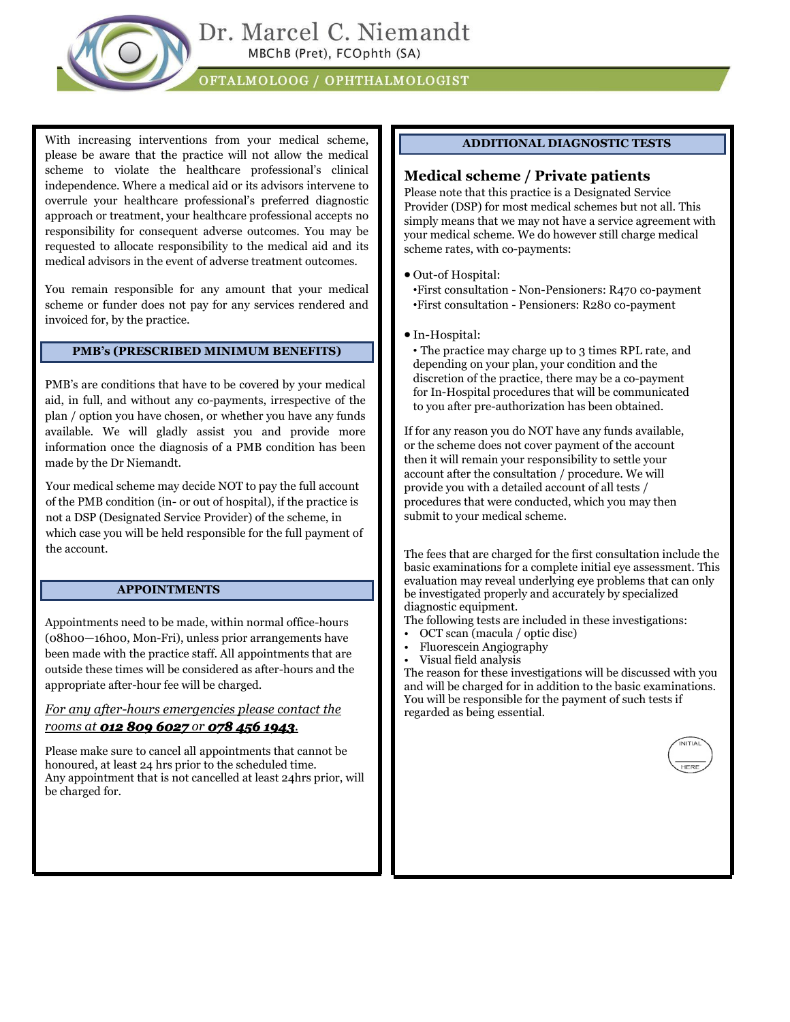

With increasing interventions from your medical scheme, please be aware that the practice will not allow the medical scheme to violate the healthcare professional's clinical independence. Where a medical aid or its advisors intervene to overrule your healthcare professional's preferred diagnostic approach or treatment, your healthcare professional accepts no responsibility for consequent adverse outcomes. You may be requested to allocate responsibility to the medical aid and its medical advisors in the event of adverse treatment outcomes.

You remain responsible for any amount that your medical scheme or funder does not pay for any services rendered and invoiced for, by the practice.

#### **PMB's (PRESCRIBED MINIMUM BENEFITS)**

PMB's are conditions that have to be covered by your medical aid, in full, and without any co-payments, irrespective of the plan / option you have chosen, or whether you have any funds available. We will gladly assist you and provide more information once the diagnosis of a PMB condition has been made by the Dr Niemandt.

Your medical scheme may decide NOT to pay the full account of the PMB condition (in- or out of hospital), if the practice is not a DSP (Designated Service Provider) of the scheme, in which case you will be held responsible for the full payment of the account.

#### **APPOINTMENTS**

Appointments need to be made, within normal office-hours (08h00—16h00, Mon-Fri), unless prior arrangements have been made with the practice staff. All appointments that are outside these times will be considered as after-hours and the appropriate after-hour fee will be charged.

#### *For any after-hours emergencies please contact the rooms at 012 809 6027 or 078 456 1943.*

Please make sure to cancel all appointments that cannot be honoured, at least 24 hrs prior to the scheduled time. Any appointment that is not cancelled at least 24hrs prior, will be charged for.

#### **ADDITIONAL DIAGNOSTIC TESTS**

#### **Medical scheme / Private patients**

Please note that this practice is a Designated Service Provider (DSP) for most medical schemes but not all. This simply means that we may not have a service agreement with your medical scheme. We do however still charge medical scheme rates, with co-payments:

• Out-of Hospital:

•First consultation - Non-Pensioners: R470 co-payment •First consultation - Pensioners: R280 co-payment

• In-Hospital:

• The practice may charge up to 3 times RPL rate, and depending on your plan, your condition and the discretion of the practice, there may be a co-payment for In-Hospital procedures that will be communicated to you after pre-authorization has been obtained.

If for any reason you do NOT have any funds available, or the scheme does not cover payment of the account then it will remain your responsibility to settle your account after the consultation / procedure. We will provide you with a detailed account of all tests / procedures that were conducted, which you may then submit to your medical scheme.

The fees that are charged for the first consultation include the basic examinations for a complete initial eye assessment. This evaluation may reveal underlying eye problems that can only be investigated properly and accurately by specialized diagnostic equipment.

- The following tests are included in these investigations:
- OCT scan (macula / optic disc)
- Fluorescein Angiography
- Visual field analysis

The reason for these investigations will be discussed with you and will be charged for in addition to the basic examinations. You will be responsible for the payment of such tests if regarded as being essential.

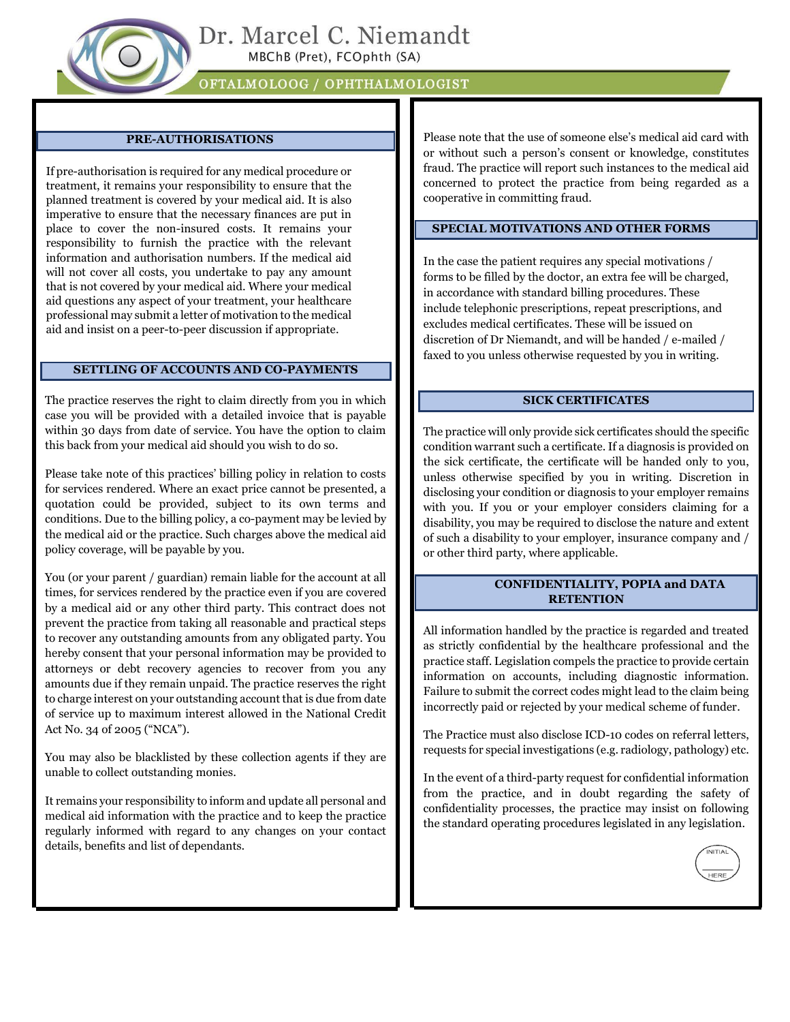

#### **PRE-AUTHORISATIONS**

If pre-authorisation is required for any medical procedure or treatment, it remains your responsibility to ensure that the planned treatment is covered by your medical aid. It is also imperative to ensure that the necessary finances are put in place to cover the non-insured costs. It remains your responsibility to furnish the practice with the relevant information and authorisation numbers. If the medical aid will not cover all costs, you undertake to pay any amount that is not covered by your medical aid. Where your medical aid questions any aspect of your treatment, your healthcare professional may submit a letter of motivation to the medical aid and insist on a peer-to-peer discussion if appropriate.

#### **SETTLING OF ACCOUNTS AND CO-PAYMENTS**

The practice reserves the right to claim directly from you in which case you will be provided with a detailed invoice that is payable within 30 days from date of service. You have the option to claim this back from your medical aid should you wish to do so.

Please take note of this practices' billing policy in relation to costs for services rendered. Where an exact price cannot be presented, a quotation could be provided, subject to its own terms and conditions. Due to the billing policy, a co-payment may be levied by the medical aid or the practice. Such charges above the medical aid policy coverage, will be payable by you.

You (or your parent / guardian) remain liable for the account at all times, for services rendered by the practice even if you are covered by a medical aid or any other third party. This contract does not prevent the practice from taking all reasonable and practical steps to recover any outstanding amounts from any obligated party. You hereby consent that your personal information may be provided to attorneys or debt recovery agencies to recover from you any amounts due if they remain unpaid. The practice reserves the right to charge interest on your outstanding account that is due from date of service up to maximum interest allowed in the National Credit Act No. 34 of 2005 ("NCA").

You may also be blacklisted by these collection agents if they are unable to collect outstanding monies.

It remains your responsibility to inform and update all personal and medical aid information with the practice and to keep the practice regularly informed with regard to any changes on your contact details, benefits and list of dependants.

Please note that the use of someone else's medical aid card with or without such a person's consent or knowledge, constitutes fraud. The practice will report such instances to the medical aid concerned to protect the practice from being regarded as a cooperative in committing fraud.

#### **SPECIAL MOTIVATIONS AND OTHER FORMS**

In the case the patient requires any special motivations / forms to be filled by the doctor, an extra fee will be charged, in accordance with standard billing procedures. These include telephonic prescriptions, repeat prescriptions, and excludes medical certificates. These will be issued on discretion of Dr Niemandt, and will be handed / e-mailed / faxed to you unless otherwise requested by you in writing.

#### **SICK CERTIFICATES**

The practice will only provide sick certificates should the specific condition warrant such a certificate. If a diagnosis is provided on the sick certificate, the certificate will be handed only to you, unless otherwise specified by you in writing. Discretion in disclosing your condition or diagnosis to your employer remains with you. If you or your employer considers claiming for a disability, you may be required to disclose the nature and extent of such a disability to your employer, insurance company and / or other third party, where applicable.

#### **CONFIDENTIALITY, POPIA and DATA RETENTION**

All information handled by the practice is regarded and treated as strictly confidential by the healthcare professional and the practice staff. Legislation compels the practice to provide certain information on accounts, including diagnostic information. Failure to submit the correct codes might lead to the claim being incorrectly paid or rejected by your medical scheme of funder.

The Practice must also disclose ICD-10 codes on referral letters, requests for special investigations (e.g. radiology, pathology) etc.

In the event of a third-party request for confidential information from the practice, and in doubt regarding the safety of confidentiality processes, the practice may insist on following the standard operating procedures legislated in any legislation.